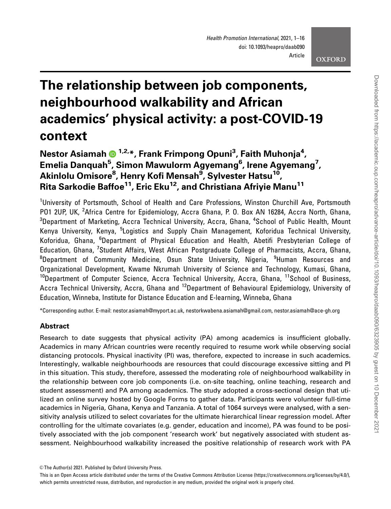# The relationship between job components, neighbourhood walkability and African academics' physical activity: a post-COVID-19 context

Nestor Asiamah ® <sup>1,2,</sup>\*, Frank Frimpong Opuni<sup>3</sup>, Faith Muhonja<sup>4</sup>, Emelia Danquah<sup>5</sup>, Simon Mawulorm Agyemang<sup>6</sup>, Irene Agyemang<sup>7</sup>, Akinlolu Omisore<sup>8</sup>, Henry Kofi Mensah<sup>9</sup>, Sylvester Hatsu<sup>10</sup>, Rita Sarkodie Baffoe<sup>11</sup>, Eric Eku<sup>12</sup>, and Christiana Afriyie Manu<sup>11</sup>

<sup>1</sup>University of Portsmouth, School of Health and Care Professions, Winston Churchill Ave, Portsmouth PO1 2UP, UK, <sup>2</sup>Africa Centre for Epidemiology, Accra Ghana, P. O. Box AN 16284, Accra North, Ghana,  $^3$ Department of Marketing, Accra Technical University, Accra, Ghana,  $^4$ School of Public Health, Mount Kenya University, Kenya, <sup>5</sup>Logistics and Supply Chain Management, Koforidua Technical University, Koforidua, Ghana, <sup>6</sup>Department of Physical Education and Health, Abetifi Presbyterian College of Education, Ghana, <sup>7</sup>Student Affairs, West African Postgraduate College of Pharmacists, Accra, Ghana, <sup>8</sup>Department of Community Medicine, Osun State University, Nigeria, <sup>9</sup>Human Resources and Organizational Development, Kwame Nkrumah University of Science and Technology, Kumasi, Ghana, <sup>10</sup>Department of Computer Science, Accra Technical University, Accra, Ghana, <sup>11</sup>School of Business, Accra Technical University, Accra, Ghana and <sup>12</sup>Department of Behavioural Epidemiology, University of Education, Winneba, Institute for Distance Education and E-learning, Winneba, Ghana

\*Corresponding author. E-mail: nestor.asiamah@myport.ac.uk, nestorkwabena.asiamah@gmail.com, nestor.asiamah@ace-gh.org

# **Abstract**

Research to date suggests that physical activity (PA) among academics is insufficient globally. Academics in many African countries were recently required to resume work while observing social distancing protocols. Physical inactivity (PI) was, therefore, expected to increase in such academics. Interestingly, walkable neighbourhoods are resources that could discourage excessive sitting and PI in this situation. This study, therefore, assessed the moderating role of neighbourhood walkability in the relationship between core job components (i.e. on-site teaching, online teaching, research and student assessment) and PA among academics. The study adopted a cross-sectional design that utilized an online survey hosted by Google Forms to gather data. Participants were volunteer full-time academics in Nigeria, Ghana, Kenya and Tanzania. A total of 1064 surveys were analysed, with a sensitivity analysis utilized to select covariates for the ultimate hierarchical linear regression model. After controlling for the ultimate covariates (e.g. gender, education and income), PA was found to be positively associated with the job component 'research work' but negatively associated with student assessment. Neighbourhood walkability increased the positive relationship of research work with PA

<sup>©</sup> The Author(s) 2021. Published by Oxford University Press.

This is an Open Access article distributed under the terms of the Creative Commons Attribution License (https://creativecommons.org/licenses/by/4.0/), which permits unrestricted reuse, distribution, and reproduction in any medium, provided the original work is properly cited.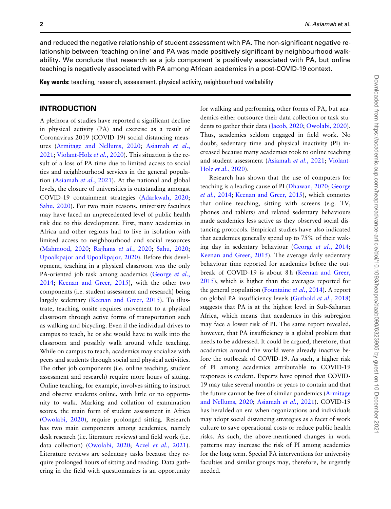and reduced the negative relationship of student assessment with PA. The non-significant negative relationship between 'teaching online' and PA was made positively significant by neighbourhood walkability. We conclude that research as a job component is positively associated with PA, but online teaching is negatively associated with PA among African academics in a post-COVID-19 context.

Key words: teaching, research, assessment, physical activity, neighbourhood walkability

# INTRODUCTION

A plethora of studies have reported a significant decline in physical activity (PA) and exercise as a result of Coronavirus 2019 (COVID-19) social distancing measures ([Armitage and Nellums, 2020;](#page-13-0) [Asiamah](#page-13-0) et al., [2021](#page-13-0); [Violant-Holz](#page-15-0) et al., 2020). This situation is the result of a loss of PA time due to limited access to social ties and neighbourhood services in the general population [\(Asiamah](#page-13-0) et al., 2021). At the national and global levels, the closure of universities is outstanding amongst COVID-19 containment strategies [\(Adarkwah, 2020](#page-13-0); [Sahu, 2020\)](#page-15-0). For two main reasons, university faculties may have faced an unprecedented level of public health risk due to this development. First, many academics in Africa and other regions had to live in isolation with limited access to neighbourhood and social resources [\(Mahmood, 2020;](#page-14-0) [Rajhans](#page-14-0) et al., 2020; [Sahu, 2020](#page-15-0); [Upoalkpajor and Upoalkpajor, 2020](#page-15-0)). Before this development, teaching in a physical classroom was the only PA-oriented job task among academics ([George](#page-14-0) et al., [2014](#page-14-0); [Keenan and Greer, 2015](#page-14-0)), with the other two components (i.e. student assessment and research) being largely sedentary ([Keenan and Greer, 2015](#page-14-0)). To illustrate, teaching onsite requires movement to a physical classroom through active forms of transportation such as walking and bicycling. Even if the individual drives to campus to teach, he or she would have to walk into the classroom and possibly walk around while teaching. While on campus to teach, academics may socialize with peers and students through social and physical activities. The other job components (i.e. online teaching, student assessment and research) require more hours of sitting. Online teaching, for example, involves sitting to instruct and observe students online, with little or no opportunity to walk. Marking and collation of examination scores, the main form of student assessment in Africa [\(Owolabi, 2020](#page-14-0)), require prolonged sitting. Research has two main components among academics, namely desk research (i.e. literature reviews) and field work (i.e. data collection) ([Owolabi, 2020](#page-14-0); Aczel et al.[, 2021](#page-13-0)). Literature reviews are sedentary tasks because they require prolonged hours of sitting and reading. Data gathering in the field with questionnaires is an opportunity

for walking and performing other forms of PA, but academics either outsource their data collection or task students to gather their data [\(Jacob, 2020](#page-14-0); [Owolabi, 2020](#page-14-0)). Thus, academics seldom engaged in field work. No doubt, sedentary time and physical inactivity (PI) increased because many academics took to online teaching and student assessment ([Asiamah](#page-13-0) et al., 2021; [Violant-](#page-15-0)Holz et al.[, 2020\)](#page-15-0).

Research has shown that the use of computers for teaching is a leading cause of PI [\(Dhawan, 2020;](#page-13-0) [George](#page-14-0) et al.[, 2014](#page-14-0); [Keenan and Greer, 2015\)](#page-14-0), which connotes that online teaching, sitting with screens (e.g. TV, phones and tablets) and related sedentary behaviours made academics less active as they observed social distancing protocols. Empirical studies have also indicated that academics generally spend up to 75% of their waking day in sedentary behaviour [\(George](#page-14-0) et al., 2014; [Keenan and Greer, 2015](#page-14-0)). The average daily sedentary behaviour time reported for academics before the out-break of COVID-19 is about 8h [\(Keenan and Greer,](#page-14-0) [2015](#page-14-0)), which is higher than the averages reported for the general population ([Fountaine](#page-14-0) et al., 2014). A report on global PA insufficiency levels [\(Guthold](#page-14-0) et al., 2018) suggests that PA is at the highest level in Sub-Saharan Africa, which means that academics in this subregion may face a lower risk of PI. The same report revealed, however, that PA insufficiency is a global problem that needs to be addressed. It could be argued, therefore, that academics around the world were already inactive before the outbreak of COVID-19. As such, a higher risk of PI among academics attributable to COVID-19 responses is evident. Experts have opined that COVID-19 may take several months or years to contain and that the future cannot be free of similar pandemics ([Armitage](#page-13-0) [and Nellums, 2020;](#page-13-0) [Asiamah](#page-13-0) et al., 2021). COVID-19 has heralded an era when organizations and individuals may adopt social distancing strategies as a facet of work culture to save operational costs or reduce public health risks. As such, the above-mentioned changes in work patterns may increase the risk of PI among academics for the long term. Special PA interventions for university faculties and similar groups may, therefore, be urgently needed.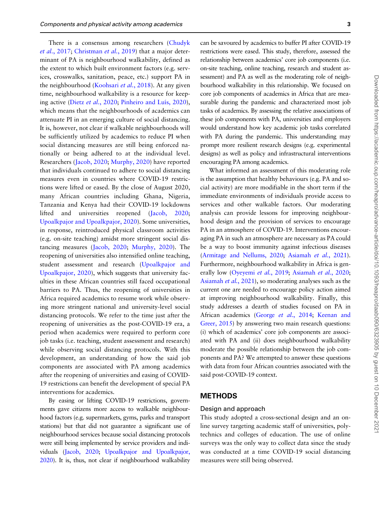There is a consensus among researchers ([Chudyk](#page-13-0) et al.[, 2017;](#page-13-0) [Christman](#page-13-0) et al., 2019) that a major determinant of PA is neighbourhood walkability, defined as the extent to which built environment factors (e.g. services, crosswalks, sanitation, peace, etc.) support PA in the neighbourhood [\(Koohsari](#page-14-0) et al., 2018). At any given time, neighbourhood walkability is a resource for keep-ing active (Dietz et al.[, 2020;](#page-13-0) Pinheiro and Luís, 2020), which means that the neighbourhoods of academics can attenuate PI in an emerging culture of social distancing. It is, however, not clear if walkable neighbourhoods will be sufficiently utilized by academics to reduce PI when social distancing measures are still being enforced nationally or being adhered to at the individual level. Researchers [\(Jacob, 2020](#page-14-0); [Murphy, 2020](#page-14-0)) have reported that individuals continued to adhere to social distancing measures even in countries where COVID-19 restrictions were lifted or eased. By the close of August 2020, many African countries including Ghana, Nigeria, Tanzania and Kenya had their COVID-19 lockdowns lifted and universities reopened [\(Jacob, 2020](#page-14-0); [Upoalkpajor and Upoalkpajor, 2020\)](#page-15-0). Some universities, in response, reintroduced physical classroom activities (e.g. on-site teaching) amidst more stringent social distancing measures [\(Jacob, 2020;](#page-14-0) [Murphy, 2020\)](#page-14-0). The reopening of universities also intensified online teaching, student assessment and research [\(Upoalkpajor and](#page-15-0) [Upoalkpajor, 2020\)](#page-15-0), which suggests that university faculties in these African countries still faced occupational barriers to PA. Thus, the reopening of universities in Africa required academics to resume work while observing more stringent national and university-level social distancing protocols. We refer to the time just after the reopening of universities as the post-COVID-19 era, a period when academics were required to perform core job tasks (i.e. teaching, student assessment and research) while observing social distancing protocols. With this development, an understanding of how the said job components are associated with PA among academics after the reopening of universities and easing of COVID-19 restrictions can benefit the development of special PA interventions for academics.

By easing or lifting COVID-19 restrictions, governments gave citizens more access to walkable neighbourhood factors (e.g. supermarkets, gyms, parks and transport stations) but that did not guarantee a significant use of neighbourhood services because social distancing protocols were still being implemented by service providers and individuals [\(Jacob, 2020](#page-14-0); [Upoalkpajor and Upoalkpajor,](#page-15-0) [2020\)](#page-15-0). It is, thus, not clear if neighbourhood walkability

can be savoured by academics to buffer PI after COVID-19 restrictions were eased. This study, therefore, assessed the relationship between academics' core job components (i.e. on-site teaching, online teaching, research and student assessment) and PA as well as the moderating role of neighbourhood walkability in this relationship. We focused on core job components of academics in Africa that are measurable during the pandemic and characterized most job tasks of academics. By assessing the relative associations of these job components with PA, universities and employers would understand how key academic job tasks correlated with PA during the pandemic. This understanding may prompt more resilient research designs (e.g. experimental designs) as well as policy and infrastructural interventions encouraging PA among academics.

What informed an assessment of this moderating role is the assumption that healthy behaviours (e.g. PA and social activity) are more modifiable in the short term if the immediate environments of individuals provide access to services and other walkable factors. Our moderating analysis can provide lessons for improving neighbourhood design and the provision of services to encourage PA in an atmosphere of COVID-19. Interventions encouraging PA in such an atmosphere are necessary as PA could be a way to boost immunity against infectious diseases [\(Armitage and Nellums, 2020](#page-13-0); [Asiamah](#page-13-0) et al., 2021). Furthermore, neighbourhood walkability in Africa is gen-erally low [\(Oyeyemi](#page-14-0) et al., 2019; [Asiamah](#page-13-0) et al., 2020; [Asiamah](#page-13-0) et al., 2021), so moderating analyses such as the current one are needed to encourage policy action aimed at improving neighbourhood walkability. Finally, this study addresses a dearth of studies focused on PA in African academics (George et al.[, 2014;](#page-14-0) [Keenan and](#page-14-0) [Greer, 2015](#page-14-0)) by answering two main research questions: (i) which of academics' core job components are associated with PA and (ii) does neighbourhood walkability moderate the possible relationship between the job components and PA? We attempted to answer these questions with data from four African countries associated with the said post-COVID-19 context.

#### **METHODS**

#### Design and approach

This study adopted a cross-sectional design and an online survey targeting academic staff of universities, polytechnics and colleges of education. The use of online surveys was the only way to collect data since the study was conducted at a time COVID-19 social distancing measures were still being observed.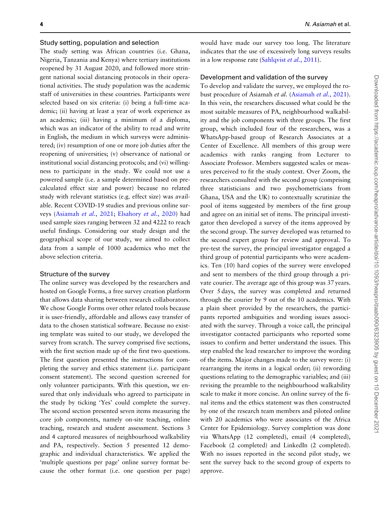#### Study setting, population and selection

The study setting was African countries (i.e. Ghana, Nigeria, Tanzania and Kenya) where tertiary institutions reopened by 31 August 2020, and followed more stringent national social distancing protocols in their operational activities. The study population was the academic staff of universities in these countries. Participants were selected based on six criteria: (i) being a full-time academic; (ii) having at least a year of work experience as an academic; (iii) having a minimum of a diploma, which was an indicator of the ability to read and write in English, the medium in which surveys were administered; (iv) resumption of one or more job duties after the reopening of universities; (v) observance of national or institutional social distancing protocols; and (vi) willingness to participate in the study. We could not use a powered sample (i.e. a sample determined based on precalculated effect size and power) because no related study with relevant statistics (e.g. effect size) was available. Recent COVID-19 studies and previous online surveys [\(Asiamah](#page-13-0) et al., 2021; [Elsahory](#page-14-0) et al., 2020) had used sample sizes ranging between 32 and 4222 to reach useful findings. Considering our study design and the geographical scope of our study, we aimed to collect data from a sample of 1000 academics who met the above selection criteria.

#### Structure of the survey

The online survey was developed by the researchers and hosted on Google Forms, a free survey creation platform that allows data sharing between research collaborators. We chose Google Forms over other related tools because it is user-friendly, affordable and allows easy transfer of data to the chosen statistical software. Because no existing template was suited to our study, we developed the survey from scratch. The survey comprised five sections, with the first section made up of the first two questions. The first question presented the instructions for completing the survey and ethics statement (i.e. participant consent statement). The second question screened for only volunteer participants. With this question, we ensured that only individuals who agreed to participate in the study by ticking 'Yes' could complete the survey. The second section presented seven items measuring the core job components, namely on-site teaching, online teaching, research and student assessment. Sections 3 and 4 captured measures of neighbourhood walkability and PA, respectively. Section 5 presented 12 demographic and individual characteristics. We applied the 'multiple questions per page' online survey format because the other format (i.e. one question per page)

would have made our survey too long. The literature indicates that the use of excessively long surveys results in a low response rate ([Sahlqvist](#page-15-0) et al., 2011).

#### Development and validation of the survey

To develop and validate the survey, we employed the robust procedure of Asiamah et al. [\(Asiamah](#page-13-0) et al., 2021). In this vein, the researchers discussed what could be the most suitable measures of PA, neighbourhood walkability and the job components with three groups. The first group, which included four of the researchers, was a WhatsApp-based group of Research Associates at a Center of Excellence. All members of this group were academics with ranks ranging from Lecturer to Associate Professor. Members suggested scales or measures perceived to fit the study context. Over Zoom, the researchers consulted with the second group (comprising three statisticians and two psychometricians from Ghana, USA and the UK) to contextually scrutinize the pool of items suggested by members of the first group and agree on an initial set of items. The principal investigator then developed a survey of the items approved by the second group. The survey developed was returned to the second expert group for review and approval. To pre-test the survey, the principal investigator engaged a third group of potential participants who were academics. Ten (10) hard copies of the survey were enveloped and sent to members of the third group through a private courier. The average age of this group was 37 years. Over 5 days, the survey was completed and returned through the courier by 9 out of the 10 academics. With a plain sheet provided by the researchers, the participants reported ambiguities and wording issues associated with the survey. Through a voice call, the principal investigator contacted participants who reported some issues to confirm and better understand the issues. This step enabled the lead researcher to improve the wording of the items. Major changes made to the survey were: (i) rearranging the items in a logical order; (ii) rewording questions relating to the demographic variables; and (iii) revising the preamble to the neighbourhood walkability scale to make it more concise. An online survey of the final items and the ethics statement was then constructed by one of the research team members and piloted online with 20 academics who were associates of the Africa Center for Epidemiology. Survey completion was done via WhatsApp (12 completed), email (4 completed), Facebook (2 completed) and LinkedIn (2 completed). With no issues reported in the second pilot study, we sent the survey back to the second group of experts to approve.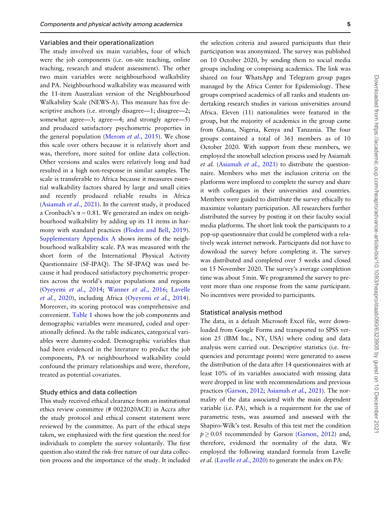#### Variables and their operationalization

The study involved six main variables, four of which were the job components (i.e. on-site teaching, online teaching, research and student assessment). The other two main variables were neighbourhood walkability and PA. Neighbourhood walkability was measured with the 11-item Australian version of the Neighbourhood Walkability Scale (NEWS-A). This measure has five descriptive anchors (i.e. strongly disagree—1; disagree—2; somewhat agree—3; agree—4; and strongly agree—5) and produced satisfactory psychometric properties in the general population [\(Merom](#page-14-0) et al., 2015). We chose this scale over others because it is relatively short and was, therefore, more suited for online data collection. Other versions and scales were relatively long and had resulted in a high non-response in similar samples. The scale is transferable to Africa because it measures essential walkability factors shared by large and small cities and recently produced reliable results in Africa [\(Asiamah](#page-13-0) et al., 2021). In the current study, it produced a Cronbach's  $\alpha = 0.81$ . We generated an index on neighbourhood walkability by adding up its 11 items in harmony with standard practices [\(Floden and Bell, 2019](#page-14-0)). [Supplementary Appendix A](https://academic.oup.com/heapro/article-lookup/doi/10.1093/heapro/daab090#supplementary-data) shows items of the neighbourhood walkability scale. PA was measured with the short form of the International Physical Activity Questionnaire (SF-IPAQ). The SF-IPAQ was used because it had produced satisfactory psychometric properties across the world's major populations and regions [\(Oyeyemi](#page-14-0) et al., 2014; [Wanner](#page-15-0) et al., 2016; [Lavelle](#page-14-0) et al.[, 2020\)](#page-14-0), including Africa ([Oyeyemi](#page-14-0) et al., 2014). Moreover, its scoring protocol was comprehensive and convenient. [Table 1](#page-5-0) shows how the job components and demographic variables were measured, coded and operationally defined. As the table indicates, categorical variables were dummy-coded. Demographic variables that had been evidenced in the literature to predict the job components, PA or neighbourhood walkability could confound the primary relationships and were, therefore, treated as potential covariates.

#### Study ethics and data collection

This study received ethical clearance from an institutional ethics review committee (# 0022020ACE) in Accra after the study protocol and ethical consent statement were reviewed by the committee. As part of the ethical steps taken, we emphasized with the first question the need for individuals to complete the survey voluntarily. The first question also stated the risk-free nature of our data collection process and the importance of the study. It included

the selection criteria and assured participants that their participation was anonymized. The survey was published on 10 October 2020, by sending them to social media groups including or comprising academics. The link was shared on four WhatsApp and Telegram group pages managed by the Africa Center for Epidemiology. These groups comprised academics of all ranks and students undertaking research studies in various universities around Africa. Eleven (11) nationalities were featured in the group, but the majority of academics in the group came from Ghana, Nigeria, Kenya and Tanzania. The four groups contained a total of 361 members as of 10 October 2020. With support from these members, we employed the snowball selection process used by Asiamah et al. ([Asiamah](#page-13-0) et al., 2021) to distribute the questionnaire. Members who met the inclusion criteria on the platforms were implored to complete the survey and share it with colleagues in their universities and countries. Members were guided to distribute the survey ethically to maximize voluntary participation. All researchers further distributed the survey by posting it on their faculty social media platforms. The short link took the participants to a pop-up questionnaire that could be completed with a relatively weak internet network. Participants did not have to download the survey before completing it. The survey was distributed and completed over 5 weeks and closed on 15 November 2020. The survey's average completion time was about 5 min. We programmed the survey to prevent more than one response from the same participant. No incentives were provided to participants.

Statistical analysis method

The data, in a default Microsoft Excel file, were downloaded from Google Forms and transported to SPSS version 25 (IBM Inc., NY, USA) where coding and data analysis were carried out. Descriptive statistics (i.e. frequencies and percentage points) were generated to assess the distribution of the data after 14 questionnaires with at least 10% of its variables associated with missing data were dropped in line with recommendations and previous practices [\(Garson, 2012;](#page-14-0) [Asiamah](#page-13-0) et al., 2021). The normality of the data associated with the main dependent variable (i.e. PA), which is a requirement for the use of parametric tests, was assumed and assessed with the Shapiro-Wilk's test. Results of this test met the condition  $p \geq 0.05$  recommended by Garson [\(Garson, 2012](#page-14-0)) and, therefore, evidenced the normality of the data. We employed the following standard formula from Lavelle et al. [\(Lavelle](#page-14-0) et al., 2020) to generate the index on PA: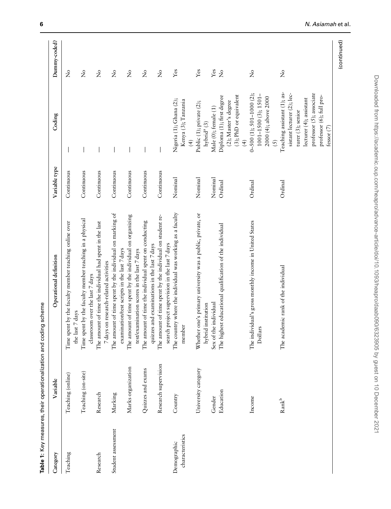Table 1: Key measures, their operationalization and coding scheme Table 1: Key measures, their operationalization and coding scheme

<span id="page-5-0"></span>

| Category                       | Variable                   | Operational definition                                                                                     | Variable type | Coding                                                                                                                                                                                     | Dummy-coded?                   |
|--------------------------------|----------------------------|------------------------------------------------------------------------------------------------------------|---------------|--------------------------------------------------------------------------------------------------------------------------------------------------------------------------------------------|--------------------------------|
| Teaching                       | Teaching (online)          | Time spent by the faculty member teaching online over<br>the last 7 days                                   | Continuous    |                                                                                                                                                                                            | ż                              |
|                                | Teaching (on-site)         | Time spent by the faculty member teaching in a physical<br>classroom over the last 7 days                  | Continuous    |                                                                                                                                                                                            | $\mathcal{L}^{\circ}$          |
| Research                       | Research                   | The amount of time the individual had spent in the last<br>7 days on research-related activities           | Continuous    |                                                                                                                                                                                            | $\mathbf{\hat{z}}$             |
| Student assessment             | Marking                    | The amount of time spent by the individual on marking of<br>examination/test scripts in the last 7 days    | Continuous    | $\overline{\phantom{a}}$                                                                                                                                                                   | $\mathsf{S}^{\mathsf{o}}$      |
|                                | Marks organization         | The amount of time spent by the individual on organizing<br>test/examination scores in the last 7 days     | Continuous    |                                                                                                                                                                                            | $\stackrel{\circ}{\mathbf{Z}}$ |
|                                | Quizzes and exams          | The amount of time the individual spent on conducting<br>quizzes and examinations in the last 7 days       | Continuous    |                                                                                                                                                                                            | $\stackrel{\circ}{\mathbf{Z}}$ |
|                                | Research supervision       | The amount of time spent by the individual on student re-<br>search project supervision in the last 7 days | Continuous    | $\overline{\phantom{a}}$                                                                                                                                                                   | $\mathsf{S}^{\mathsf{o}}$      |
| characteristics<br>Demographic | Country                    | The country where the individual was working as a faculty<br>member                                        | Nominal       | Nigeria (1); Ghana (2);<br>Kenya (3); Tanzania<br>$\overline{4}$                                                                                                                           | Yes                            |
|                                | University category        | Whether one's primary university was a public, private, or<br>hybrid institution                           | Nominal       | Public (1); private (2);<br>hybrid <sup>a</sup> (3)                                                                                                                                        | Yes                            |
|                                | Gender                     | Sex of the individual                                                                                      | Nominal       | Male (0); female (1)                                                                                                                                                                       | $Y$ es                         |
|                                | Education                  | The highest educational qualification of the individual                                                    | Ordinal       | (3); PhD or equivalent<br>Diploma (1); first degree<br>(2); Master's degree<br>$\overline{4}$                                                                                              | $\overline{X}$                 |
|                                | Income                     | The individual's gross monthly income in United States<br>Dollars                                          | Ordinal       | $0-500(1); 501-1000(2);$<br>1001-1500 (3); 1501-<br>2000 (4); above 2000<br>(5)                                                                                                            | $\tilde{z}$                    |
|                                | $\mathrm{Rank}^\mathrm{b}$ | The academic rank of the individual                                                                        | Ordinal       | Teaching assistant (1); as-<br>professor (5); associate<br>sistant lecturer (2); lec-<br>professor (6); full pro-<br>lecturer (4); assistant<br>turer (3); senior<br>fessor <sup>(7)</sup> | $\tilde{z}$                    |

(continued)

(continued)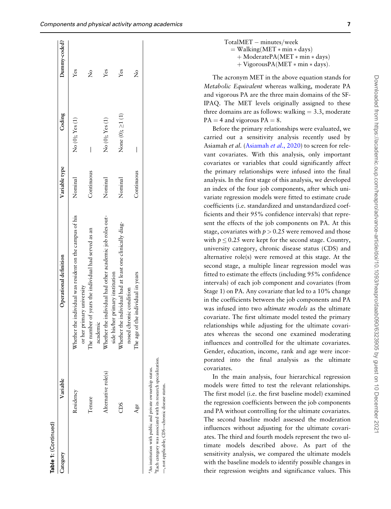|                                                                                              |                                                          |                                                               |                                                                                                                                                                                                             | $+V$<br>$+V$                                                                                                                                                                                                                                                                                                                                                    |
|----------------------------------------------------------------------------------------------|----------------------------------------------------------|---------------------------------------------------------------|-------------------------------------------------------------------------------------------------------------------------------------------------------------------------------------------------------------|-----------------------------------------------------------------------------------------------------------------------------------------------------------------------------------------------------------------------------------------------------------------------------------------------------------------------------------------------------------------|
| $Y$ es                                                                                       | Yes                                                      | $\frac{1}{2}$                                                 |                                                                                                                                                                                                             | The acronym<br>Metabolic Equit                                                                                                                                                                                                                                                                                                                                  |
| No (0); Yes (1)                                                                              | None (0); $\geq$ 1 (1)                                   | I                                                             |                                                                                                                                                                                                             | and vigorous PA<br>IPAQ. The ME<br>three domains ar<br>$PA = 4$ and vigo.<br>Before the pri<br>carried out a<br>Asiamah et al. (A<br>vant covariates.                                                                                                                                                                                                           |
| Nominal                                                                                      | Nominal                                                  | Continuous                                                    |                                                                                                                                                                                                             | covariates or va<br>the primary rela<br>analysis. In the fi<br>an index of the<br>variate regressio<br>coefficients (i.e.                                                                                                                                                                                                                                       |
| Whether the individual had other academic job roles out-<br>side his/her primary institution | Whether the individual had at least one clinically diag- | The age of the individual in years<br>nosed chronic condition |                                                                                                                                                                                                             | ficients and their<br>sent the effects<br>stage, covariates<br>with $p \le 0.25$ we<br>university catego<br>alternative role(<br>second stage, a<br>fitted to estimate<br>intervals) of eacl<br>Stage 1) on PA. /<br>in the coefficient<br>was infused into<br>covariate. The fi<br>relationships wh<br>ates whereas th<br>influences and c<br>Gender, educatio |
| ole(s)<br>Alternative rc                                                                     | ğ                                                        | Age                                                           | pecialization<br>status.<br><sup>D</sup> Each category was associated with its research s<br><sup>a</sup> An institution with public and private ownershi<br>-, not applicable; CDS-chronic disease status. | porated into<br>$\mathbf{t}$<br>covariates.<br>In the main<br>models were fit<br>The first model<br>the regression co<br>and PA without<br>The second bas<br>influences witho<br>ates. The third a<br>timate<br>models<br>sensitivity analy:<br>with the baseline<br>their regression                                                                           |

| $TotalMET - minutes/week$             |
|---------------------------------------|
| $=$ Walking(MET $*$ min $*$ days)     |
| $+$ ModeratePA(MET $*$ min $*$ days)  |
| $+$ VigorousPA(MET $*$ min $*$ days). |

MET in the above equation stands for valent whereas walking, moderate PA are the three main domains of the SF- $ET$  levels originally assigned to these re as follows: walking  $= 3.3$ , moderate rous  $PA = 8$ .

imary relationships were evaluated, we sensitivity analysis recently used by [Asiamah](#page-13-0) et al., 2020) to screen for rele-With this analysis, only important ariables that could significantly affect ationships were infused into the final irst stage of this analysis, we developed four job components, after which uniin models were fitted to estimate crude standardized and unstandardized coeffictor 95% confidence intervals) that repreof the job components on PA. At this with  $p > 0.25$  were removed and those ere kept for the second stage. Country, ory, chronic disease status (CDS) and s) were removed at this stage. At the multiple linear regression model was e the effects (including 95% confidence h job component and covariates (from Any covariate that led to a 10% change ts between the job components and PA o two *ultimate models* as the ultimate irst ultimate model tested the primary nile adjusting for the ultimate covarine second one examined moderating controlled for the ultimate covariates. on, income, rank and age were incorthe final analysis as the ultimate

analysis, four hierarchical regression ted to test the relevant relationships. (i.e. the first baseline model) examined befficients between the job components controlling for the ultimate covariates. seline model assessed the moderation influences without adjusting for the ultimate covariates. The third and fourth models represent the two ultimate models described above. As part of the sensitivity analysis, we compared the ultimate models with the baseline models to identify possible changes in their regression weights and significance values. This

able 1: (Continued) (Continued)

Category

Variable

Residency

Tenure

Category Variable Operational definition Variable type Coding Dummy-coded?

Operational definition

Residency Whether the individual was resident on the campus of his or her primary university

or her primary university

Whether the individual was resident on the campus of his

Tenure The number of years the individual had served as an academic

The number of years the individual had served as an

Nominal  $No(0); Yes(1)$  Yes

No (0); Yes (1)

Nominal

Yes

Dummy-coded?

Coding

Variable type

Continuous — No

 $\overline{\phantom{a}}$ 

Continuous

 $\frac{1}{2}$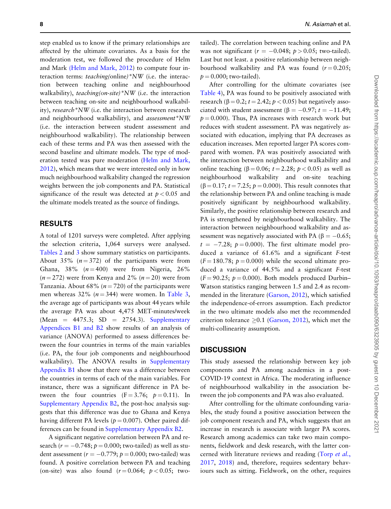step enabled us to know if the primary relationships are affected by the ultimate covariates. As a basis for the moderation test, we followed the procedure of Helm and Mark [\(Helm and Mark, 2012\)](#page-14-0) to compute four interaction terms: teaching(online)\*NW (i.e. the interaction between teaching online and neighbourhood walkability), *teaching*(on-site)\*NW (i.e. the interaction between teaching on-site and neighbourhood walkability), research\*NW (i.e. the interaction between research and neighbourhood walkability), and assessment\*NW (i.e. the interaction between student assessment and neighbourhood walkability). The relationship between each of these terms and PA was then assessed with the second baseline and ultimate models. The type of moderation tested was pure moderation [\(Helm and Mark,](#page-14-0) [2012](#page-14-0)), which means that we were interested only in how much neighbourhood walkability changed the regression weights between the job components and PA. Statistical significance of the result was detected at  $p < 0.05$  and the ultimate models treated as the source of findings.

#### RESULTS

A total of 1201 surveys were completed. After applying the selection criteria, 1,064 surveys were analysed. [Tables 2](#page-8-0) and [3](#page-9-0) show summary statistics on participants. About 35%  $(n = 372)$  of the participants were from Ghana,  $38\%$  ( $n = 400$ ) were from Nigeria,  $26\%$  $(n = 272)$  were from Kenya and 2%  $(n = 20)$  were from Tanzania. About 68% ( $n = 720$ ) of the participants were men whereas 32% ( $n = 344$ ) were women. In [Table 3](#page-9-0), the average age of participants was about 44 years while the average PA was about 4,475 MET-minutes/week (Mean  $=$  4475.3; SD  $=$  2754.3). [Supplementary](https://academic.oup.com/heapro/article-lookup/doi/10.1093/heapro/daab090#supplementary-data) [Appendices B1 and B2](https://academic.oup.com/heapro/article-lookup/doi/10.1093/heapro/daab090#supplementary-data) show results of an analysis of variance (ANOVA) performed to assess differences between the four countries in terms of the main variables (i.e. PA, the four job components and neighbourhood walkability). The ANOVA results in [Supplementary](https://academic.oup.com/heapro/article-lookup/doi/10.1093/heapro/daab090#supplementary-data) [Appendix B1](https://academic.oup.com/heapro/article-lookup/doi/10.1093/heapro/daab090#supplementary-data) show that there was a difference between the countries in terms of each of the main variables. For instance, there was a significant difference in PA between the four countries  $(F = 3.76; p = 0.11)$ . In [Supplementary Appendix B2,](https://academic.oup.com/heapro/article-lookup/doi/10.1093/heapro/daab090#supplementary-data) the post-hoc analysis suggests that this difference was due to Ghana and Kenya having different PA levels ( $p = 0.007$ ). Other paired differences can be found in [Supplementary Appendix B2](https://academic.oup.com/heapro/article-lookup/doi/10.1093/heapro/daab090#supplementary-data).

A significant negative correlation between PA and research  $(r = -0.748; p = 0.000;$  two-tailed) as well as student assessment ( $r = -0.779$ ;  $p = 0.000$ ; two-tailed) was found. A positive correlation between PA and teaching (on-site) was also found  $(r=0.064; p<0.05;$  twotailed). The correlation between teaching online and PA was not significant ( $r = -0.048$ ;  $p > 0.05$ ; two-tailed). Last but not least. a positive relationship between neighbourhood walkability and PA was found  $(r = 0.205;$  $p = 0.000$ ; two-tailed).

After controlling for the ultimate covariates (see [Table 4\)](#page-10-0), PA was found to be positively associated with research ( $\beta$  = 0.2;  $t$  = 2.42;  $p$  < 0.05) but negatively associated with student assessment ( $\beta = -0.97$ ;  $t = -11.49$ ;  $p = 0.000$ . Thus, PA increases with research work but reduces with student assessment. PA was negatively associated with education, implying that PA decreases as education increases. Men reported larger PA scores compared with women. PA was positively associated with the interaction between neighbourhood walkability and online teaching ( $\beta = 0.06$ ;  $t = 2.28$ ;  $p < 0.05$ ) as well as neighbourhood walkability and on-site teaching  $(\beta = 0.17; t = 7.25; p = 0.000)$ . This result connotes that the relationship between PA and online teaching is made positively significant by neighbourhood walkability. Similarly, the positive relationship between research and PA is strengthened by neighbourhood walkability. The interaction between neighbourhood walkability and assessment was negatively associated with PA ( $\beta = -0.65$ ;  $t = -7.28$ ;  $p = 0.000$ ). The first ultimate model produced a variance of 61.6% and a significant F-test  $(F = 180.78; p = 0.000)$  while the second ultimate produced a variance of 44.5% and a significant F-test  $(F = 90.25; p = 0.000)$ . Both models produced Durbin– Watson statistics ranging between 1.5 and 2.4 as recommended in the literature [\(Garson, 2012\)](#page-14-0), which satisfied the independence-of-errors assumption. Each predictor in the two ultimate models also met the recommended criterion tolerance  $\geq 0.1$  ([Garson, 2012\)](#page-14-0), which met the multi-collinearity assumption.

### **DISCUSSION**

This study assessed the relationship between key job components and PA among academics in a post-COVID-19 context in Africa. The moderating influence of neighbourhood walkability in the association between the job components and PA was also evaluated.

After controlling for the ultimate confounding variables, the study found a positive association between the job component research and PA, which suggests that an increase in research is associate with larger PA scores. Research among academics can take two main components, fieldwork and desk research, with the latter concerned with literature reviews and reading (Torp [et al.](#page-15-0), [2017](#page-15-0), [2018](#page-15-0)) and, therefore, requires sedentary behaviours such as sitting. Fieldwork, on the other, requires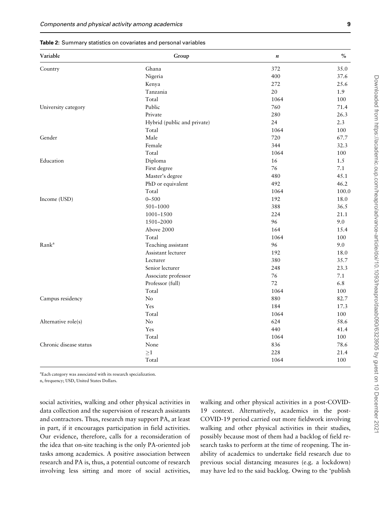<span id="page-8-0"></span>

|  |  |  |  | <b>Table 2:</b> Summary statistics on covariates and personal variables |  |  |  |  |
|--|--|--|--|-------------------------------------------------------------------------|--|--|--|--|
|--|--|--|--|-------------------------------------------------------------------------|--|--|--|--|

| Variable               | Group                       | $\boldsymbol{n}$ | $\%$  |
|------------------------|-----------------------------|------------------|-------|
| Country                | Ghana                       | 372              | 35.0  |
|                        | Nigeria                     | 400              | 37.6  |
|                        | Kenya                       | 272              | 25.6  |
|                        | Tanzania                    | 20               | 1.9   |
|                        | Total                       | 1064             | 100   |
| University category    | Public                      | 760              | 71.4  |
|                        | Private                     | 280              | 26.3  |
|                        | Hybrid (public and private) | 24               | 2.3   |
|                        | Total                       | 1064             | 100   |
| Gender                 | Male                        | 720              | 67.7  |
|                        | Female                      | 344              | 32.3  |
|                        | Total                       | 1064             | 100   |
| Education              | Diploma                     | 16               | 1.5   |
|                        | First degree                | 76               | 7.1   |
|                        | Master's degree             | 480              | 45.1  |
|                        | PhD or equivalent           | 492              | 46.2  |
|                        | Total                       | 1064             | 100.0 |
| Income (USD)           | $0 - 500$                   | 192              | 18.0  |
|                        | 501-1000                    | 388              | 36.5  |
|                        | 1001-1500                   | 224              | 21.1  |
|                        | 1501-2000                   | 96               | 9.0   |
|                        | Above 2000                  | 164              | 15.4  |
|                        | Total                       | 1064             | 100   |
| Rank <sup>a</sup>      | Teaching assistant          | 96               | 9.0   |
|                        | Assistant lecturer          | 192              | 18.0  |
|                        | Lecturer                    | 380              | 35.7  |
|                        | Senior lecturer             | 248              | 23.3  |
|                        | Associate professor         | 76               | 7.1   |
|                        | Professor (full)            | 72               | 6.8   |
|                        | Total                       | 1064             | 100   |
| Campus residency       | No                          | 880              | 82.7  |
|                        | Yes                         | 184              | 17.3  |
|                        | Total                       | 1064             | 100   |
| Alternative role(s)    | No                          | 624              | 58.6  |
|                        | Yes                         | 440              | 41.4  |
|                        | Total                       | 1064             | 100   |
| Chronic disease status | None                        | 836              | 78.6  |
|                        | ${\geq}1$                   | 228              | 21.4  |
|                        | Total                       | 1064             | 100   |

a Each category was associated with its research specialization.

n, frequency; USD, United States Dollars.

social activities, walking and other physical activities in data collection and the supervision of research assistants and contractors. Thus, research may support PA, at least in part, if it encourages participation in field activities. Our evidence, therefore, calls for a reconsideration of the idea that on-site teaching is the only PA-oriented job tasks among academics. A positive association between research and PA is, thus, a potential outcome of research involving less sitting and more of social activities,

walking and other physical activities in a post-COVID-19 context. Alternatively, academics in the post-COVID-19 period carried out more fieldwork involving walking and other physical activities in their studies, possibly because most of them had a backlog of field research tasks to perform at the time of reopening. The inability of academics to undertake field research due to previous social distancing measures (e.g. a lockdown) may have led to the said backlog. Owing to the 'publish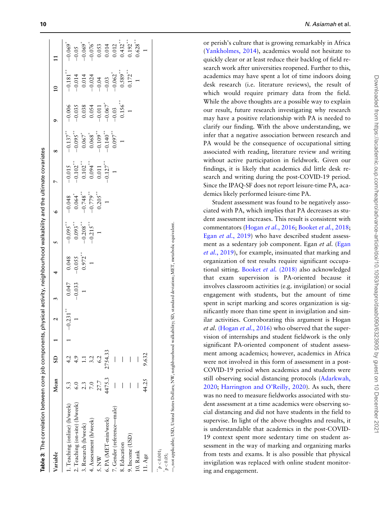<span id="page-9-0"></span>

| Variable                       | Mean   | G       |             |          |                                    |                                        |                                                          |                                                                         |                                                                                 |                                                                                    |                                                                                                    |                                                                                   |
|--------------------------------|--------|---------|-------------|----------|------------------------------------|----------------------------------------|----------------------------------------------------------|-------------------------------------------------------------------------|---------------------------------------------------------------------------------|------------------------------------------------------------------------------------|----------------------------------------------------------------------------------------------------|-----------------------------------------------------------------------------------|
| 1. Teaching (online) (h/week)  |        | 4.2     | $-0.231***$ | 0.047    |                                    | $-0.095$                               |                                                          | $-0.015$                                                                | $-0.137***$                                                                     |                                                                                    | $-0.181$ <sup>**</sup>                                                                             | $-0.069"$                                                                         |
| 2. Teaching (on-site) (h/week) |        | 4.9     |             | $-0.033$ |                                    |                                        |                                                          |                                                                         |                                                                                 |                                                                                    |                                                                                                    |                                                                                   |
| 3. Research (h/week)           |        | $\Xi$   |             |          | $-0.048$<br>$-0.055$<br>$0.972$ ** | $-0.093$<br>$-0.208$<br>$-0.215$<br>** |                                                          |                                                                         |                                                                                 |                                                                                    |                                                                                                    |                                                                                   |
| 4. Assessment (h/week)         | 7.0    | 3.2     |             |          |                                    |                                        | $-0.048$<br>$-0.064$<br>$-0.748$<br>$-0.779$<br>$-0.705$ | $-0.102$<br>$0.102$<br>$0.094$<br>$0.011$<br>$0.011$<br>$-0.127$<br>$1$ | $-0.095$<br>$-0.067$<br>$0.067$<br>$-0.109$<br>$-0.140$<br>$-0.140$<br>$-0.097$ | $-0.006$<br>$-0.035$<br>0.038<br>0.054<br>0.067 <sup>*</sup><br>0.067 <sup>*</sup> | $-0.014$<br>$-0.024$<br>$-0.024$<br>$-0.03$<br>$-0.05$<br>$-0.05$<br>$-0.05$<br>$-0.05$<br>$-0.05$ | $-0.05$<br>$-0.069$<br>$-0.076$<br>0.053<br>0.014<br>0.012<br>0.432 <sup>**</sup> |
| 5. NW                          | 27.7   | 6.2     |             |          |                                    |                                        |                                                          |                                                                         |                                                                                 |                                                                                    |                                                                                                    |                                                                                   |
| 6. PA (MET-min/week)           | 4475.3 | 2754.33 |             |          |                                    |                                        |                                                          |                                                                         |                                                                                 |                                                                                    |                                                                                                    |                                                                                   |
| 7. Gender (reference-male)     |        | I       |             |          |                                    |                                        |                                                          |                                                                         |                                                                                 |                                                                                    |                                                                                                    |                                                                                   |
| 8. Education                   |        |         |             |          |                                    |                                        |                                                          |                                                                         | $\overline{1}$                                                                  | $0.156$ <sup>***</sup>                                                             |                                                                                                    |                                                                                   |
| 9. Income (USD)                | I      |         |             |          |                                    |                                        |                                                          |                                                                         |                                                                                 |                                                                                    | $0.172***$                                                                                         | $0.192***$                                                                        |
| 10. Rank                       |        |         |             |          |                                    |                                        |                                                          |                                                                         |                                                                                 |                                                                                    |                                                                                                    | $0.628***$                                                                        |
| 11. Age                        | 44.25  | .632    |             |          |                                    |                                        |                                                          |                                                                         |                                                                                 |                                                                                    |                                                                                                    |                                                                                   |

, not applicable; USD, United States Dollars; NW, neighbourhood walkability; SD, standard deviation; MET, metabolic equivalent. —, not applicable; USD, United States Dollars; NW, neighbourhood walkability; SD, standard deviation; MET, metabolic equivalent.  $p < 0.001;$ <br> $p < 0.05;$ 

or perish's culture that is growing remarkably in Africa ([Yankholmes, 2014\)](#page-15-0), academics would not hesitate to quickly clear or at least reduce their backlog of field research work after universities reopened. Further to this, academics may have spent a lot of time indoors doing desk research (i.e. literature reviews), the result of which would require primary data from the field. While the above thoughts are a possible way to explain our result, future research investigating why research may have a positive relationship with PA is needed to clarify our finding. With the above understanding, we infer that a negative association between research and PA would be the consequence of occupational sitting associated with reading, literature review and writing without active participation in fieldwork. Given our findings, it is likely that academics did little desk research and writing during the post-COVID-19 period. Since the IPAQ-SF does not report leisure-time PA, academics likely performed leisure-time PA.

Student assessment was found to be negatively associated with PA, which implies that PA decreases as student assessment increases. This result is consistent with commentators [\(Hogan](#page-14-0) *et al.*, 2016; [Booket](#page-13-0) *et al.*, 2018; Egan et al.[, 2019\)](#page-14-0) who have described student assess-ment as a sedentary job component. Egan et al. [\(Egan](#page-14-0) et al.[, 2019\)](#page-14-0), for example, insinuated that marking and organization of test results require significant occupational sitting. [Booket](#page-13-0) et al. (2018) also acknowledged that exam supervision is PA-oriented because it involves classroom activities (e.g. invigilation) or social engagement with students, but the amount of time spent in script marking and scores organization is significantly more than time spent in invigilation and similar activities. Corroborating this argument is Hogan et al. [\(Hogan](#page-14-0) et al., 2016) who observed that the supervision of internships and student fieldwork is the only significant PA-oriented component of student assessment among academics; however, academics in Africa were not involved in this form of assessment in a post-COVID-19 period when academics and students were still observing social distancing protocols ([Adarkwah,](#page-13-0) [2020](#page-13-0) ; [Harrington and O'Reilly, 2020](#page-14-0)). As such, there was no need to measure fieldworks associated with student assessment at a time academics were observing social distancing and did not have students in the field to supervise. In light of the above thoughts and results, it is understandable that academics in the post-COVID-19 context spent more sedentary time on student assessment in the way of marking and organizing marks from tests and exams. It is also possible that physical invigilation was replaced with online student monitoring and engagement.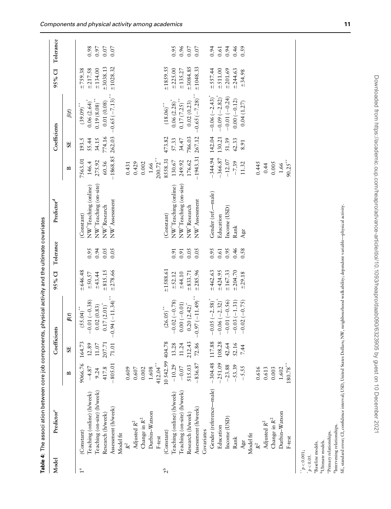<span id="page-10-0"></span>

|                       | Table 4: The associ ation between core jo! |                    |              | b components, physical activity and the ultimate covariates |             |           |                                    |              |              |                    |           |           |
|-----------------------|--------------------------------------------|--------------------|--------------|-------------------------------------------------------------|-------------|-----------|------------------------------------|--------------|--------------|--------------------|-----------|-----------|
| Model                 | Predictor <sup>c</sup>                     |                    | Coefficients |                                                             | 95% CI      | Tolerance | Predictor <sup>d</sup>             |              | Coefficients |                    | 95% CI    | Tolerance |
|                       |                                            | $\mathbf{r}$       | $\mathbf{S}$ | $\beta(t)$                                                  |             |           |                                    | $\mathbf{r}$ | 55           | $\beta(t)$         |           |           |
| $\stackrel{a}{\cdot}$ | (Constant)                                 | $\infty$<br>9066.7 | 164.73       | $(55.04)$ "                                                 | ±646.48     |           | (Constant)                         | 7563.01      | 193.5        | $(39.09)$ **       | $+759.38$ |           |
|                       | Teaching (online) (h/week)                 | $-4.87$            | 12.89        | $-0.01(-0.38)$                                              | $-50.57$    | 0.95      | NW <sup>*</sup> Teaching (online)  | 146.4        | 55.44        | 0.06(2.64)         | ±217.58   | 0.98      |
|                       | Teaching (on-site) (h/week)                | 9.24               | $11.07\,$    | 0.02(0.83)                                                  | ±43.44      | 0.94      | NW <sup>*</sup> Teaching (on-site) | 275.92       | 34.15        | $0.19(8.08)$ **    | ±134.00   | 0.97      |
|                       | Research (h/week)                          | 417.8              | 207.71       | $0.17(2.01)^*$                                              | ±815.15     | 0.05      | NW <sup>*</sup> Research           | 60.56        | 774.16       | 0.01(0.08)         | ±3038.13  | 0.07      |
|                       | Assessment (h/week)                        | $-805.0$           | $71.01\,$    | $-0.94 (-11.34)$                                            | ±278.66     | 0.05      | $\text{NW}^*\text{A}$ ssessment    | $-1868.85$   | 262.03       | $-0.65(-7.13)$     | ±1028.32  | 0.07      |
|                       | Model fit                                  |                    |              |                                                             |             |           |                                    |              |              |                    |           |           |
|                       | $\mathbb{R}^2$                             | 0.609              |              |                                                             |             |           |                                    | 0.431        |              |                    |           |           |
|                       | Adjusted $\mathbb{R}^2$                    | $0.607$            |              |                                                             |             |           |                                    | 0.429        |              |                    |           |           |
|                       | Change in $\mathbb{R}^2$                   | 0.002              |              |                                                             |             |           |                                    | 0.002        |              |                    |           |           |
|                       | Durbin-Watson                              | 1.608              |              |                                                             |             |           |                                    | 1.66         |              |                    |           |           |
|                       | F-test                                     | $412.04***$        |              |                                                             |             |           |                                    | $200.72***$  |              |                    |           |           |
| 2 <sup>b</sup>        | (Constant)                                 | 10542.99           | 404.78       | $(26.05)$ **                                                | ±1588.61    |           | (Constant)                         | 8558.31      | 473.82       | $(18.06)$ **       | ±1859.55  |           |
|                       | Teaching (online) (h/week)                 | $-10.29$           | 13.28        | $-0.02(-0.78)$                                              | $\pm$ 52.12 | 0.91      | NW <sup>*</sup> Teaching (online)  | 130.67       | 57.33        | $0.06(2.28)^{*}$   | ±225.00   | 0.95      |
|                       | Teaching (on-site) (h/week)                | $-0.07$            | 11.24        | $0.00 (-0.01)$                                              | ±44.10      | 0.91      | NW <sup>*</sup> Teaching (on-site) | 249.92       | 34.47        | $0.17 (7.25)^{**}$ | ±135.27   | 0.96      |
|                       | Research (h/week)                          | 515.03             | 212.43       | $0.20(2.42)^{*}$                                            | ±833.71     | 0.05      | NW <sup>*</sup> Research           | 176.62       | 786.03       | 0.02(0.23)         | ±3084.85  | 0.07      |
|                       | Assessment (h/week)                        | $-836.87$          | 72.86        | $-0.97(-11.49)$                                             | ±285.96     | 0.05      | $\text{NW}^*\text{A}$ ssessment    | $-1943.31$   | 267.12       | $-0.65 (-7.28)$    | ±1048.33  | 0.07      |
|                       | Covariates                                 |                    |              |                                                             |             |           |                                    |              |              |                    |           |           |
|                       | Gender (reference-male)                    | ∘.<br>$-304.4$     | 117.88       | $-0.05 (-2.58)^{*}$                                         | ±462.63     | 0.95      | Gender (ref.-male)                 | $-344.94$    | 142.04       | $-0.06(-2.43)^{*}$ | ±557.44   | 0.94      |
|                       | Education                                  | $-251.09$          | 108.28       | $-0.06(-2.32)$                                              | ±424.95     | 0.61      | Education                          | $-366.87$    | 130.21       | $-0.09(-2.82)$     | ±511.00   | 0.61      |
|                       | Income (USD)                               | $-23.88$           | 42.64        | $-0.01(-0.56)$                                              | ±167.33     | 0.95      | Income (USD)                       | $-12.07$     | 51.39        | $-0.01(-0.24)$     | ±201.69   | 0.94      |
|                       | Rank                                       | $-53.39$           | 52.16        | $-0.03(-1.31)$                                              | ±204.70     | 0.46      | Rank                               | $-7.39$      | 62.33        | $0.00(-0.12)$      | ±244.63   | 0.46      |
|                       | Age                                        | $-5.55$            | 7.44         | $-0.02(-0.75)$                                              | ±29.18      | 0.58      | Age                                | 11.32        | 8.91         | 0.04(1.27)         | ±34.98    | 0.59      |
|                       | Model fit                                  |                    |              |                                                             |             |           |                                    |              |              |                    |           |           |
|                       | $\mathbb{R}^2$                             | 0.616              |              |                                                             |             |           |                                    | 0.445        |              |                    |           |           |
|                       | Adjusted $R^2$                             | 0.613              |              |                                                             |             |           |                                    | 0.44         |              |                    |           |           |
|                       | Change in $\mathbb{R}^2$                   | 0.003              |              |                                                             |             |           |                                    | 0.005        |              |                    |           |           |
|                       | Durbin-Watson                              | 1.602              |              |                                                             |             |           |                                    | 1.66         |              |                    |           |           |
|                       | F-test                                     | $180.78\sp{^{**}}$ |              |                                                             |             |           |                                    | $90.25$ *    |              |                    |           |           |
| p < 0.001;            |                                            |                    |              |                                                             |             |           |                                    |              |              |                    |           |           |
| $p < 0.05$ .          |                                            |                    |              |                                                             |             |           |                                    |              |              |                    |           |           |
|                       | <sup>a</sup> Baseline models.              |                    |              |                                                             |             |           |                                    |              |              |                    |           |           |
|                       | <sup>b</sup> Ultimate models.              |                    |              |                                                             |             |           |                                    |              |              |                    |           |           |
|                       | Primary relationships.                     |                    |              |                                                             |             |           |                                    |              |              |                    |           |           |

dIntervening relationships.

 $\ensuremath{\textsc{d}}$  <br> Intervening relationships.

SE, standard error; CI, confidence interval; USD, United States Dollars; NW, neighbourhood walkability; dependent variable—physical activity.

SE, standard error; CI, confidence interval; USD, United States Dollars; NW, neighbourhood walkability; dependent variable-physical activity.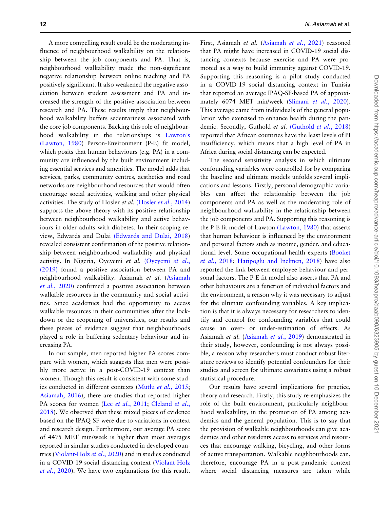A more compelling result could be the moderating influence of neighbourhood walkability on the relationship between the job components and PA. That is, neighbourhood walkability made the non-significant negative relationship between online teaching and PA positively significant. It also weakened the negative association between student assessment and PA and increased the strength of the positive association between research and PA. These results imply that neighbourhood walkability buffers sedentariness associated with the core job components. Backing this role of neighbourhood walkability in the relationships is [Lawton's](#page-14-0) [\(Lawton, 1980\)](#page-14-0) Person-Environment (P-E) fit model, which posits that human behaviours (e.g. PA) in a community are influenced by the built environment including essential services and amenities. The model adds that services, parks, community centres, aesthetics and road networks are neighbourhood resources that would often encourage social activities, walking and other physical activities. The study of Hosler et al. [\(Hosler](#page-14-0) et al., 2014) supports the above theory with its positive relationship between neighbourhood walkability and active behaviours in older adults with diabetes. In their scoping review, Edwards and Dulai [\(Edwards and Dulai, 2018\)](#page-13-0) revealed consistent confirmation of the positive relationship between neighbourhood walkability and physical activity. In Nigeria, Oyeyemi et al. [\(Oyeyemi](#page-14-0) et al., [\(2019\)](#page-14-0) found a positive association between PA and neighbourhood walkability. Asiamah et al. ([Asiamah](#page-13-0) et al.[, 2020\)](#page-13-0) confirmed a positive association between walkable resources in the community and social activities. Since academics had the opportunity to access walkable resources in their communities after the lockdown or the reopening of universities, our results and these pieces of evidence suggest that neighbourhoods played a role in buffering sedentary behaviour and increasing PA.

In our sample, men reported higher PA scores compare with women, which suggests that men were possibly more active in a post-COVID-19 context than women. Though this result is consistent with some stud-ies conducted in different contexts (Mutlu et al.[, 2015](#page-14-0); [Asiamah, 2016](#page-13-0)), there are studies that reported higher PA scores for women (Lee et al.[, 2011;](#page-14-0) [Cleland](#page-13-0) et al., [2018](#page-13-0)). We observed that these mixed pieces of evidence based on the IPAQ-SF were due to variations in context and research design. Furthermore, our average PA score of 4475 MET min/week is higher than most averages reported in similar studies conducted in developed countries [\(Violant-Holz](#page-15-0) et al., 2020) and in studies conducted in a COVID-19 social distancing context [\(Violant-Holz](#page-15-0) et al.[, 2020\)](#page-15-0). We have two explanations for this result.

First, Asiamah et al. [\(Asiamah](#page-13-0) et al., 2021) reasoned that PA might have increased in COVID-19 social distancing contexts because exercise and PA were promoted as a way to build immunity against COVID-19. Supporting this reasoning is a pilot study conducted in a COVID-19 social distancing context in Tunisia that reported an average IPAQ-SF-based PA of approxi-mately 6074 MET min/week ([Slimani](#page-15-0) et al., 2020). This average came from individuals of the general population who exercised to enhance health during the pan-demic. Secondly, Guthold et al. [\(Guthold](#page-14-0) et al., 2018) reported that African countries have the least levels of PI insufficiency, which means that a high level of PA in Africa during social distancing can be expected.

The second sensitivity analysis in which ultimate confounding variables were controlled for by comparing the baseline and ultimate models unfolds several implications and lessons. Firstly, personal demographic variables can affect the relationship between the job components and PA as well as the moderating role of neighbourhood walkability in the relationship between the job components and PA. Supporting this reasoning is the P-E fit model of Lawton [\(Lawton, 1980](#page-14-0)) that asserts that human behaviour is influenced by the environment and personal factors such as income, gender, and educational level. Some occupational health experts ([Booket](#page-13-0) et al.[, 2018](#page-13-0); [Hatipoglu and Inelmen, 2018](#page-14-0)) have also reported the link between employee behaviour and personal factors. The P-E fit model also asserts that PA and other behaviours are a function of individual factors and the environment, a reason why it was necessary to adjust for the ultimate confounding variables. A key implication is that it is always necessary for researchers to identify and control for confounding variables that could cause an over- or under-estimation of effects. As Asiamah et al. [\(Asiamah](#page-13-0) et al., 2019) demonstrated in their study, however, confounding is not always possible, a reason why researchers must conduct robust literature reviews to identify potential confounders for their studies and screen for ultimate covariates using a robust statistical procedure.

Our results have several implications for practice, theory and research. Firstly, this study re-emphasizes the role of the built environment, particularly neighbourhood walkability, in the promotion of PA among academics and the general population. This is to say that the provision of walkable neighbourhoods can give academics and other residents access to services and resources that encourage walking, bicycling, and other forms of active transportation. Walkable neighbourhoods can, therefore, encourage PA in a post-pandemic context where social distancing measures are taken while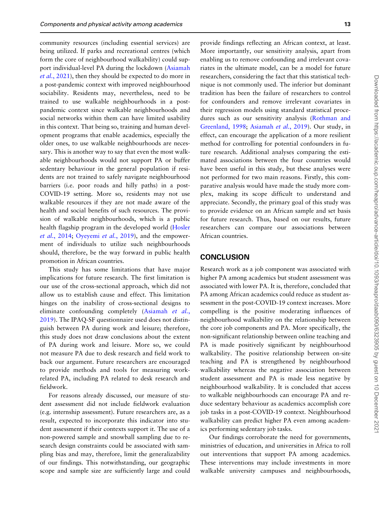community resources (including essential services) are being utilized. If parks and recreational centres (which form the core of neighbourhood walkability) could support individual-level PA during the lockdown ([Asiamah](#page-13-0) et al.[, 2021\)](#page-13-0), then they should be expected to do more in a post-pandemic context with improved neighbourhood sociability. Residents may, nevertheless, need to be trained to use walkable neighbourhoods in a postpandemic context since walkable neighbourhoods and social networks within them can have limited usability in this context. That being so, training and human development programs that enable academics, especially the older ones, to use walkable neighbourhoods are necessary. This is another way to say that even the most walkable neighbourhoods would not support PA or buffer sedentary behaviour in the general population if residents are not trained to safely navigate neighbourhood barriers (i.e. poor roads and hilly paths) in a post-COVID-19 setting. More so, residents may not use walkable resources if they are not made aware of the health and social benefits of such resources. The provision of walkable neighbourhoods, which is a public health flagship program in the developed world [\(Hosler](#page-14-0) et al.[, 2014](#page-14-0); [Oyeyemi](#page-14-0) et al., 2019), and the empowerment of individuals to utilize such neighbourhoods should, therefore, be the way forward in public health promotion in African countries.

This study has some limitations that have major implications for future research. The first limitation is our use of the cross-sectional approach, which did not allow us to establish cause and effect. This limitation hinges on the inability of cross-sectional designs to eliminate confounding completely [\(Asiamah](#page-13-0) et al., [2019\)](#page-13-0). The IPAQ-SF questionnaire used does not distinguish between PA during work and leisure; therefore, this study does not draw conclusions about the extent of PA during work and leisure. More so, we could not measure PA due to desk research and field work to back our argument. Future researchers are encouraged to provide methods and tools for measuring workrelated PA, including PA related to desk research and fieldwork.

For reasons already discussed, our measure of student assessment did not include fieldwork evaluation (e.g. internship assessment). Future researchers are, as a result, expected to incorporate this indicator into student assessment if their contexts support it. The use of a non-powered sample and snowball sampling due to research design constraints could be associated with sampling bias and may, therefore, limit the generalizability of our findings. This notwithstanding, our geographic scope and sample size are sufficiently large and could

provide findings reflecting an African context, at least. More importantly, our sensitivity analysis, apart from enabling us to remove confounding and irrelevant covariates in the ultimate model, can be a model for future researchers, considering the fact that this statistical technique is not commonly used. The inferior but dominant tradition has been the failure of researchers to control for confounders and remove irrelevant covariates in their regression models using standard statistical procedures such as our sensitivity analysis ([Rothman and](#page-15-0) [Greenland, 1998](#page-15-0); [Asiamah](#page-13-0) et al., 2019). Our study, in effect, can encourage the application of a more resilient method for controlling for potential confounders in future research. Additional analyses comparing the estimated associations between the four countries would have been useful in this study, but these analyses were not performed for two main reasons. Firstly, this comparative analysis would have made the study more complex, making its scope difficult to understand and appreciate. Secondly, the primary goal of this study was to provide evidence on an African sample and set basis for future research. Thus, based on our results, future researchers can compare our associations between African countries.

#### **CONCLUSION**

Research work as a job component was associated with higher PA among academics but student assessment was associated with lower PA. It is, therefore, concluded that PA among African academics could reduce as student assessment in the post-COVID-19 context increases. More compelling is the positive moderating influences of neighbourhood walkability on the relationship between the core job components and PA. More specifically, the non-significant relationship between online teaching and PA is made positively significant by neighbourhood walkability. The positive relationship between on-site teaching and PA is strengthened by neighbourhood walkability whereas the negative association between student assessment and PA is made less negative by neighbourhood walkability. It is concluded that access to walkable neighbourhoods can encourage PA and reduce sedentary behaviour as academics accomplish core job tasks in a post-COVID-19 context. Neighbourhood walkability can predict higher PA even among academics performing sedentary job tasks.

Our findings corroborate the need for governments, ministries of education, and universities in Africa to roll out interventions that support PA among academics. These interventions may include investments in more walkable university campuses and neighbourhoods,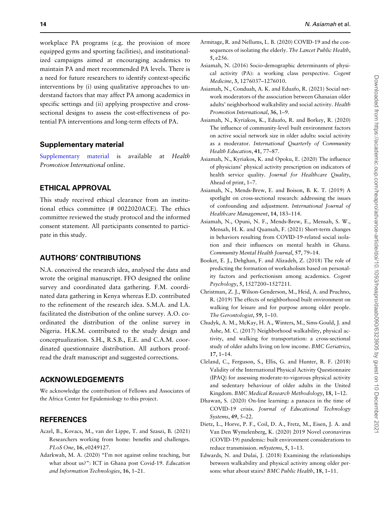<span id="page-13-0"></span>workplace PA programs (e.g. the provision of more equipped gyms and sporting facilities), and institutionalized campaigns aimed at encouraging academics to maintain PA and meet recommended PA levels. There is a need for future researchers to identify context-specific interventions by (i) using qualitative approaches to understand factors that may affect PA among academics in specific settings and (ii) applying prospective and crosssectional designs to assess the cost-effectiveness of potential PA interventions and long-term effects of PA.

#### Supplementary material

[Supplementary material](https://academic.oup.com/heapro/article-lookup/doi/10.1093/heapro/daab090#supplementary-data) is available at Health Promotion International online.

# ETHICAL APPROVAL

This study received ethical clearance from an institutional ethics committee (# 0022020ACE). The ethics committee reviewed the study protocol and the informed consent statement. All participants consented to participate in this study.

## AUTHORS' CONTRIBUTIONS

N.A. conceived the research idea, analysed the data and wrote the original manuscript. FFO designed the online survey and coordinated data gathering. F.M. coordinated data gathering in Kenya whereas E.D. contributed to the refinement of the research idea. S.M.A. and I.A. facilitated the distribution of the online survey. A.O. coordinated the distribution of the online survey in Nigeria. H.K.M. contributed to the study design and conceptualization. S.H., R.S.B., E.E. and C.A.M. coordinated questionnaire distribution. All authors proofread the draft manuscript and suggested corrections.

### ACKNOWLEDGEMENTS

We acknowledge the contribution of Fellows and Associates of the Africa Center for Epidemiology to this project.

### REFERENCES

- Aczel, B., Kovacs, M., van der Lippe, T. and Szaszi, B. (2021) Researchers working from home: benefits and challenges. PLoS One, 16, e0249127.
- Adarkwah, M. A. (2020) "I'm not against online teaching, but what about us?": ICT in Ghana post Covid-19. Education and Information Technologies, 16, 1–21.
- Armitage, R. and Nellums, L. B. (2020) COVID-19 and the consequences of isolating the elderly. The Lancet Public Health, 5, e256.
- Asiamah, N. (2016) Socio-demographic determinants of physical activity (PA): a working class perspective. Cogent Medicine, 3, 1276037–1276010.
- Asiamah, N., Conduah, A. K. and Eduafo, R. (2021) Social network moderators of the association between Ghanaian older adults' neighborhood walkability and social activity. Health Promotion International, 36, 1–9.
- Asiamah, N., Kyriakos, K., Eduafo, R. and Borkey, R. (2020) The influence of community-level built environment factors on active social network size in older adults: social activity as a moderator. International Quarterly of Community Health Education, 41, 77–87.
- Asiamah, N., Kyriakos, K. and Opoku, E. (2020) The influence of physicians' physical activity prescription on indicators of health service quality. Journal for Healthcare Quality, Ahead of print, 1–7.
- Asiamah, N., Mends-Brew, E. and Boison, B. K. T. (2019) A spotlight on cross-sectional research: addressing the issues of confounding and adjustment. International Journal of Healthcare Management, 14, 183–114.
- Asiamah, N., Opuni, N. F., Mends-Brew, E., Mensah, S. W., Mensah, H. K. and Quansah, F. (2021) Short-term changes in behaviors resulting from COVID-19-related social isolation and their influences on mental health in Ghana. Community Mental Health Journal, 57, 79–14.
- Booket, E. J., Dehghan, F. and Alizadeh, Z. (2018) The role of predicting the formation of workaholism based on personality factors and perfectionism among academics. Cogent Psychology, 5, 1527200–1527211.
- Christman, Z. J., Wilson-Genderson, M., Heid, A. and Pruchno, R. (2019) The effects of neighborhood built environment on walking for leisure and for purpose among older people. The Gerontologist, 59, 1–10.
- Chudyk, A. M., McKay, H. A., Winters, M., Sims-Gould, J. and Ashe, M. C. (2017) Neighborhood walkability, physical activity, and walking for transportation: a cross-sectional study of older adults living on low income. BMC Geriatrics, 17, 1–14.
- Cleland, C., Ferguson, S., Ellis, G. and Hunter, R. F. (2018) Validity of the International Physical Activity Questionnaire (IPAQ) for assessing moderate-to-vigorous physical activity and sedentary behaviour of older adults in the United Kingdom. BMC Medical Research Methodology, 18, 1–12.
- Dhawan, S. (2020) On-line learning: a panacea in the time of COVID-19 crisis. Journal of Educational Technology Systems, 49, 5–22.
- Dietz, L., Horve, P. F., Coil, D. A., Fretz, M., Eisen, J. A. and Van Den Wymelenberg, K. (2020) 2019 Novel coronavirus (COVID-19) pandemic: built environment considerations to reduce transmission. mSystems, 5, 1–13.
- Edwards, N. and Dulai, J. (2018) Examining the relationships between walkability and physical activity among older persons: what about stairs? BMC Public Health, 18, 1-11.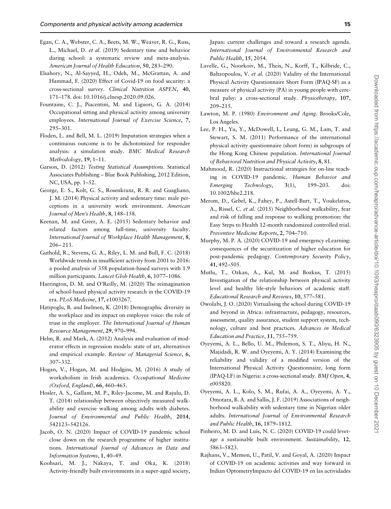- <span id="page-14-0"></span>Egan, C. A., Webster, C. A., Beets, M. W., Weaver, R. G., Russ, L., Michael, D. et al. (2019) Sedentary time and behavior during school: a systematic review and meta-analysis. American Journal of Health Education, 50, 283–290.
- Elsahory, N., Al-Sayyed, H., Odeh, M., McGrattan, A. and Hammad, F. (2020) Effect of Covid-19 on food security: a cross-sectional survey. Clinical Nutrition ASPEN, 40, 171–178. doi: 10.1016/j.clnesp.2020.09.026.
- Fountaine, C. J., Piacentini, M. and Liguori, G. A. (2014) Occupational sitting and physical activity among university employees. International Journal of Exercise Science, 7, 295–301.
- Floden, L. and Bell, M. L. (2019) Imputation strategies when a continuous outcome is to be dichotomized for responder analysis: a simulation study. BMC Medical Research Methodology, 19, 1–11.
- Garson, D. (2012) Testing Statistical Assumptions. Statistical Associates Publishing – Blue Book Publishing, 2012 Edition, NC, USA, pp. 1–52.
- George, E. S., Kolt, G. S., Rosenkranz, R. R. and Guagliano, J. M. (2014) Physical activity and sedentary time: male perceptions in a university work environment. American Journal of Men's Health, 8, 148–158.
- Keenan, M. and Greer, A. E. (2015) Sedentary behavior and related factors among full-time, university faculty. International Journal of Workplace Health Management, 8, 206– 213.
- Guthold, R., Stevens, G. A., Riley, L. M. and Bull, F. C. (2018) Worldwide trends in insufficient activity from 2001 to 2016: a pooled analysis of 358 population-based surveys with 1.9 million participants. Lancet Glob Health, 6, 1077–1086.
- Harrington, D. M. and O'Reilly, M. (2020) The reimagination of school-based physical activity research in the COVID-19 era. PLoS Medicine, 17, e1003267.
- Hatipoglu, B. and Inelmen, K. (2018) Demographic diversity in the workplace and its impact on employee voice: the role of trust in the employer. The International Journal of Human Resource Management, 29, 970–994.
- Helm, R. and Mark, A. (2012) Analysis and evaluation of moderator effects in regression models: state of art, alternatives and empirical example. Review of Managerial Science, 6, 307–332.
- Hogan, V., Hogan, M. and Hodgins, M. (2016) A study of workaholism in Irish academics. Occupational Medicine (Oxford, England), 66, 460–465.
- Hosler, A. S., Gallant, M. P., Riley-Jacome, M. and Rajulu, D. T. (2014) relationship between objectively measured walkability and exercise walking among adults with diabetes. Journal of Environmental and Public Health, 2014, 542123–542126.
- Jacob, O. N. (2020) Impact of COVID-19 pandemic school close down on the research programme of higher institutions. International Journal of Advances in Data and Information Systems, 1, 40–49.
- Koohsari, M. J., Nakaya, T. and Oka, K. (2018) Activity-friendly built environments in a super-aged society,

Japan: current challenges and toward a research agenda. International Journal of Environmental Research and Public Health, 15, 2054.

- Lavelle, G., Noorkoiv, M., Theis, N., Korff, T., Kilbride, C., Baltzopoulos, V. et al. (2020) Validity of the International Physical Activity Questionnaire Short Form (IPAQ-SF) as a measure of physical activity (PA) in young people with cerebral palsy: a cross-sectional study. Physiotherapy, 107, 209–215.
- Lawton, M. P. (1980) Environment and Aging. Brooks/Cole, Los Angeles.
- Lee, P. H., Yu, Y., McDowell, I., Leung, G. M., Lam, T. and Stewart, S. M. (2011) Performance of the international physical activity questionnaire (short form) in subgroups of the Hong Kong Chinese population. International Journal of Behavioral Nutrition and Physical Activity, 8, 81.
- Mahmood, R. (2020) Instructional strategies for on-line teaching in COVID-19 pandemic. Human Behavior and Emerging Technology, 3(1), 199–203. doi: 10.1002/hbe2.218.
- Merom, D., Gebel, K., Fahey, P., Astell-Burt, T., Voukelatos, A., Rissel, C. et al. (2015) Neighborhood walkability, fear and risk of falling and response to walking promotion: the Easy Steps to Health 12-month randomized controlled trial. Preventive Medicine Reports, 2, 704–710.
- Murphy, M. P. A. (2020) COVID-19 and emergency eLearning: consequences of the securitization of higher education for post-pandemic pedagogy. Contemporary Security Policy, 41, 492–505.
- Mutlu, T., Ozkan, A., Kul, M. and Bozkus, T. (2015) Investigation of the relationship between physical activity level and healthy life-style behaviors of academic staff. Educational Research and Reviews, 10, 577–581.
- Owolabi, J. O. (2020) Virtualising the school during COVID-19 and beyond in Africa: infrastructure, pedagogy, resources, assessment, quality assurance, student support system, technology, culture and best practices. Advances in Medical Education and Practice, 11, 755–759.
- Oyeyemi, A. L., Bello, U. M., Philemon, S. T., Aliyu, H. N., Majidadi, R. W. and Oyeyemi, A. Y. (2014) Examining the reliability and validity of a modified version of the International Physical Activity Questionnaire, long form (IPAQ-LF) in Nigeria: a cross-sectional study. BMJ Open, 4, e005820.
- Oyeyemi, A. L., Kolo, S. M., Rufai, A. A., Oyeyemi, A. Y., Omotara, B. A. and Sallis, J. F. (2019) Associations of neighborhood walkability with sedentary time in Nigerian older adults. International Journal of Environmental Research and Public Health, 16, 1879–1812.
- Pinheiro, M. D. and Luís, N. C. (2020) COVID-19 could leverage a sustainable built environment. Sustainability, 12, 5863–5823.
- Rajhans, V., Memon, U., Patil, V. and Goyal, A. (2020) Impact of COVID-19 on academic activities and way forward in Indian OptometryImpacto del COVID-19 en las actividades